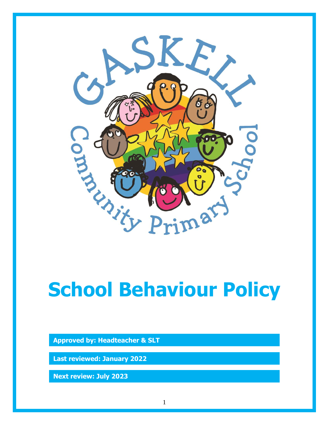

# **School Behaviour Policy**

**Approved by: Headteacher & SLT**

**Last reviewed: January 2022**

**Next review: July 2023**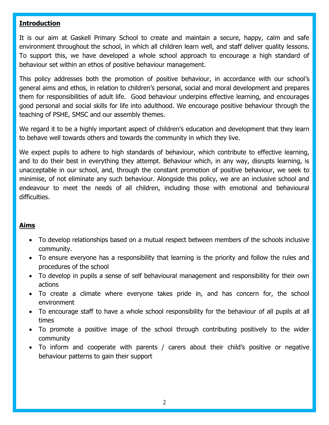## **Introduction**

It is our aim at Gaskell Primary School to create and maintain a secure, happy, calm and safe environment throughout the school, in which all children learn well, and staff deliver quality lessons. To support this, we have developed a whole school approach to encourage a high standard of behaviour set within an ethos of positive behaviour management.

This policy addresses both the promotion of positive behaviour, in accordance with our school's general aims and ethos, in relation to children's personal, social and moral development and prepares them for responsibilities of adult life. Good behaviour underpins effective learning, and encourages good personal and social skills for life into adulthood. We encourage positive behaviour through the teaching of PSHE, SMSC and our assembly themes.

We regard it to be a highly important aspect of children's education and development that they learn to behave well towards others and towards the community in which they live.

We expect pupils to adhere to high standards of behaviour, which contribute to effective learning, and to do their best in everything they attempt. Behaviour which, in any way, disrupts learning, is unacceptable in our school, and, through the constant promotion of positive behaviour, we seek to minimise, of not eliminate any such behaviour. Alongside this policy, we are an inclusive school and endeavour to meet the needs of all children, including those with emotional and behavioural difficulties.

## **Aims**

- To develop relationships based on a mutual respect between members of the schools inclusive community.
- To ensure everyone has a responsibility that learning is the priority and follow the rules and procedures of the school
- To develop in pupils a sense of self behavioural management and responsibility for their own actions
- To create a climate where everyone takes pride in, and has concern for, the school environment
- To encourage staff to have a whole school responsibility for the behaviour of all pupils at all times
- To promote a positive image of the school through contributing positively to the wider community
- To inform and cooperate with parents / carers about their child's positive or negative behaviour patterns to gain their support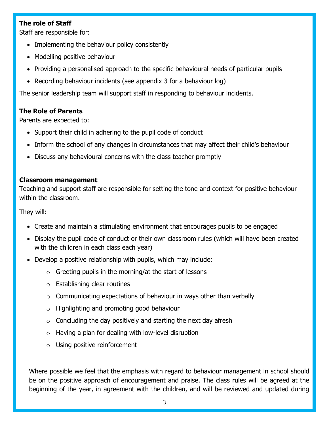## **The role of Staff**

Staff are responsible for:

- Implementing the behaviour policy consistently
- Modelling positive behaviour
- Providing a personalised approach to the specific behavioural needs of particular pupils
- Recording behaviour incidents (see appendix 3 for a behaviour log)

The senior leadership team will support staff in responding to behaviour incidents.

## **The Role of Parents**

Parents are expected to:

- Support their child in adhering to the pupil code of conduct
- Inform the school of any changes in circumstances that may affect their child's behaviour
- Discuss any behavioural concerns with the class teacher promptly

#### **Classroom management**

Teaching and support staff are responsible for setting the tone and context for positive behaviour within the classroom.

They will:

- Create and maintain a stimulating environment that encourages pupils to be engaged
- Display the pupil code of conduct or their own classroom rules (which will have been created with the children in each class each year)
- Develop a positive relationship with pupils, which may include:
	- $\circ$  Greeting pupils in the morning/at the start of lessons
	- o Establishing clear routines
	- $\circ$  Communicating expectations of behaviour in ways other than verbally
	- o Highlighting and promoting good behaviour
	- $\circ$  Concluding the day positively and starting the next day afresh
	- $\circ$  Having a plan for dealing with low-level disruption
	- o Using positive reinforcement

Where possible we feel that the emphasis with regard to behaviour management in school should be on the positive approach of encouragement and praise. The class rules will be agreed at the beginning of the year, in agreement with the children, and will be reviewed and updated during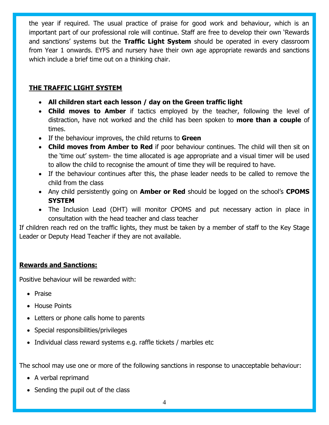the year if required. The usual practice of praise for good work and behaviour, which is an important part of our professional role will continue. Staff are free to develop their own 'Rewards and sanctions' systems but the **Traffic Light System** should be operated in every classroom from Year 1 onwards. EYFS and nursery have their own age appropriate rewards and sanctions which include a brief time out on a thinking chair.

## **THE TRAFFIC LIGHT SYSTEM**

- **All children start each lesson / day on the Green traffic light**
- **Child moves to Amber** if tactics employed by the teacher, following the level of distraction, have not worked and the child has been spoken to **more than a couple** of times.
- If the behaviour improves, the child returns to **Green**
- **Child moves from Amber to Red** if poor behaviour continues. The child will then sit on the 'time out' system- the time allocated is age appropriate and a visual timer will be used to allow the child to recognise the amount of time they will be required to have.
- If the behaviour continues after this, the phase leader needs to be called to remove the child from the class
- Any child persistently going on **Amber or Red** should be logged on the school's **CPOMS SYSTEM**
- The Inclusion Lead (DHT) will monitor CPOMS and put necessary action in place in consultation with the head teacher and class teacher

If children reach red on the traffic lights, they must be taken by a member of staff to the Key Stage Leader or Deputy Head Teacher if they are not available.

## **Rewards and Sanctions:**

Positive behaviour will be rewarded with:

- Praise
- House Points
- Letters or phone calls home to parents
- Special responsibilities/privileges
- Individual class reward systems e.g. raffle tickets / marbles etc

The school may use one or more of the following sanctions in response to unacceptable behaviour:

- A verbal reprimand
- Sending the pupil out of the class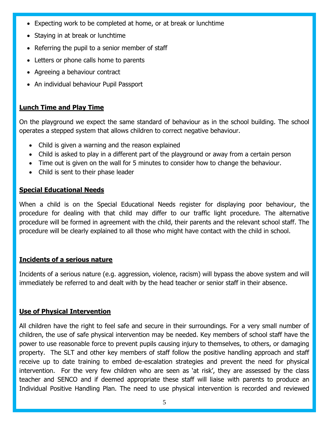- Expecting work to be completed at home, or at break or lunchtime
- Staying in at break or lunchtime
- Referring the pupil to a senior member of staff
- Letters or phone calls home to parents
- Agreeing a behaviour contract
- An individual behaviour Pupil Passport

# **Lunch Time and Play Time**

On the playground we expect the same standard of behaviour as in the school building. The school operates a stepped system that allows children to correct negative behaviour.

- Child is given a warning and the reason explained
- Child is asked to play in a different part of the playground or away from a certain person
- Time out is given on the wall for 5 minutes to consider how to change the behaviour.
- Child is sent to their phase leader

# **Special Educational Needs**

When a child is on the Special Educational Needs register for displaying poor behaviour, the procedure for dealing with that child may differ to our traffic light procedure. The alternative procedure will be formed in agreement with the child, their parents and the relevant school staff. The procedure will be clearly explained to all those who might have contact with the child in school.

## **Incidents of a serious nature**

Incidents of a serious nature (e.g. aggression, violence, racism) will bypass the above system and will immediately be referred to and dealt with by the head teacher or senior staff in their absence.

# **Use of Physical Intervention**

All children have the right to feel safe and secure in their surroundings. For a very small number of children, the use of safe physical intervention may be needed. Key members of school staff have the power to use reasonable force to prevent pupils causing injury to themselves, to others, or damaging property. The SLT and other key members of staff follow the positive handling approach and staff receive up to date training to embed de-escalation strategies and prevent the need for physical intervention. For the very few children who are seen as 'at risk', they are assessed by the class teacher and SENCO and if deemed appropriate these staff will liaise with parents to produce an Individual Positive Handling Plan. The need to use physical intervention is recorded and reviewed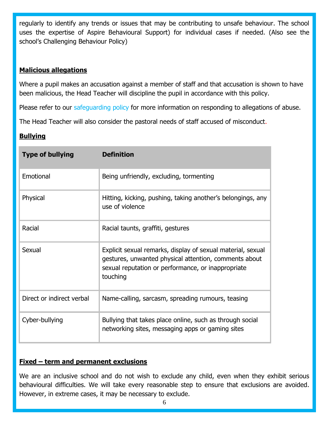regularly to identify any trends or issues that may be contributing to unsafe behaviour. The school uses the expertise of Aspire Behavioural Support) for individual cases if needed. (Also see the school's Challenging Behaviour Policy)

## **Malicious allegations**

Where a pupil makes an accusation against a member of staff and that accusation is shown to have been malicious, the Head Teacher will discipline the pupil in accordance with this policy.

Please refer to our safeguarding policy for more information on responding to allegations of abuse.

The Head Teacher will also consider the pastoral needs of staff accused of misconduct.

# **Bullying**

| <b>Type of bullying</b>   | <b>Definition</b>                                                                                                                                                                      |
|---------------------------|----------------------------------------------------------------------------------------------------------------------------------------------------------------------------------------|
| Emotional                 | Being unfriendly, excluding, tormenting                                                                                                                                                |
| Physical                  | Hitting, kicking, pushing, taking another's belongings, any<br>use of violence                                                                                                         |
| Racial                    | Racial taunts, graffiti, gestures                                                                                                                                                      |
| Sexual                    | Explicit sexual remarks, display of sexual material, sexual<br>gestures, unwanted physical attention, comments about<br>sexual reputation or performance, or inappropriate<br>touching |
| Direct or indirect verbal | Name-calling, sarcasm, spreading rumours, teasing                                                                                                                                      |
| Cyber-bullying            | Bullying that takes place online, such as through social<br>networking sites, messaging apps or gaming sites                                                                           |

## **Fixed – term and permanent exclusions**

We are an inclusive school and do not wish to exclude any child, even when they exhibit serious behavioural difficulties. We will take every reasonable step to ensure that exclusions are avoided. However, in extreme cases, it may be necessary to exclude.